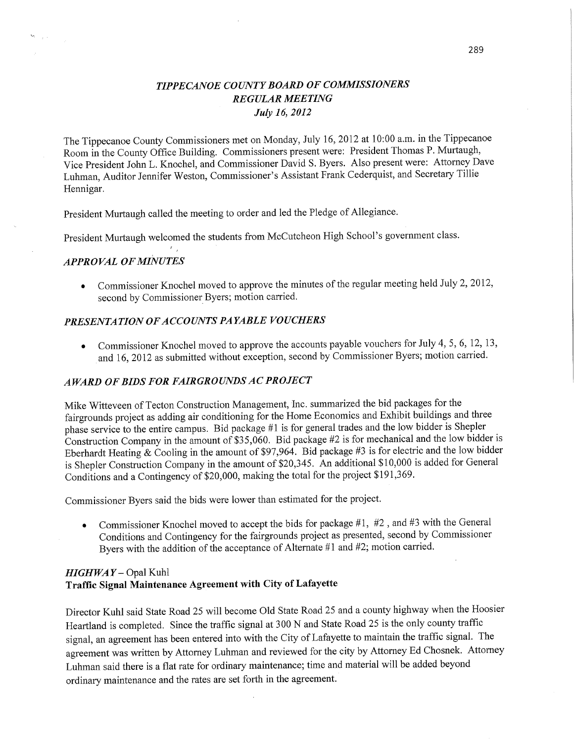# *TIPPECANOE COUNTY BOARD* OF *COMMISSIONERS REGULAR MEETING July 16, 2012*

The Tippecanoe County Commissioners met on Monday, July 16, 2012 at **10:00** am. in the Tippecanoe Room in the County Office Building. Commissioners present were: President Thomas P. Murtaugh, Vice President John L. Knochel, and Commissioner David S. Byers. Also present were: Attorney Dave **Luhman,** Auditor Jennifer Weston, Commissioner's Assistant Frank Cederquist, and Secretary Tillie Hennigar.

President Murtaugh called the meeting to order and led the Pledge of Allegiance.

President Murtaugh welcomed the students from McCutcheon High School's **govefnment** class.

### *APPROVAL* OF *MINUTES*

 $\mathbf{w}_{k} = \frac{1}{2} \mathbf{w}_{k}$ 

• Commissioner Knochel moved to approve the minutes of the regular meeting held July 2, 2012, second by Commissioner Byers; motion carried.

## **PRESENTATION OF ACCOUNTS PAYABLE VOUCHERS**

*<sup>I</sup>I* 

Commissioner Knochel moved to approve the accounts payable vouchers for July 4, 5, 6, 12, 13, and 16, 2012 as submitted without exception, second by Commissioner Byers; motion carried.

### *A WARD* 0F *BIDS* FOR *FAIRGROUNDS* AC *PROJECT*

Mike Witteveen of Tecton Construction Management, Inc. summarized the bid packages for the fairgrounds project as adding air conditioning for the Home Economics and Exhibit buildings and three <sup>p</sup>hase **service** to the entire campus. Bid package #1 is for general trades and the low bidder is Shepler Construction Company in the amount of \$35,060. Bid package #2 is for mechanical and the low bidder is Eberhardt Heating & Cooling in the amount of \$97,964. Bid package #3 is for electric and the low bidder is Shepler Construction Company in the amount of \$20,345. An additional \$10,000 is added for General Conditions and a Contingency of \$20,000, making the total for the project \$191,369.

Commissioner Byers said the bids were lower than estimated for the project.

**<sup>9</sup>**Commissioner Knochel moved to accept the bids for package #1, #2 *,* and #3 with the General Conditions and Contingency for the fairgrounds project as presented, second by Commissioner Byers with the addition of the acceptance of Alternate #1 and #2; motion carried.

## *HIGHWA Y* — Opal Kuhl **Traffic Signal Maintenance Agreement with City** of **Lafayette**

**Director** Kuhl said State Road 25 will become Old State Road 25 and a county highway when the Hoosier Heartland is completed. Since the traffic signal at 300 N and State Road 25 is the only county traffic signal, an agreement has been entered **into** with the City of Lafayette to **maintain** the traffic signal. The agreement was written by Attorney Luhman and reviewed for the city by Attorney Ed Chosnek. Attorney Luhman said there is a flat rate for ordinary maintenance; time and **material** will be added beyond ordinary maintenance and the rates are set forth in the agreement.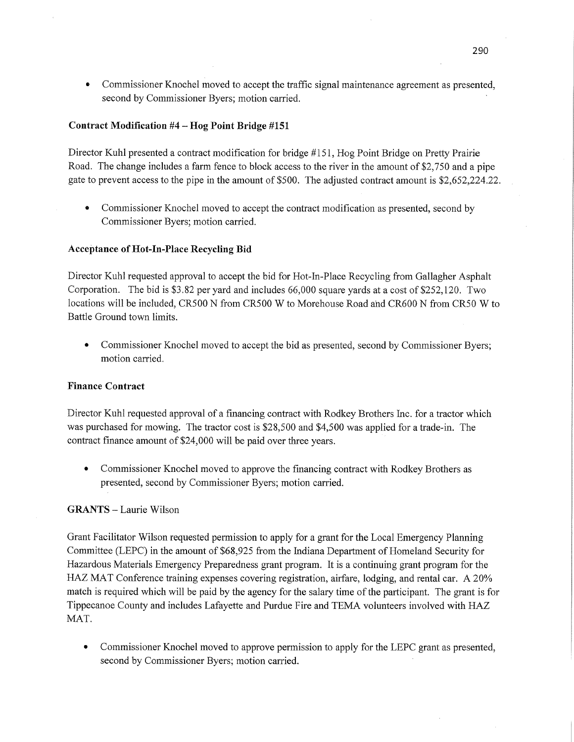**0** Commissioner Knochel moved to accept the traffic signal maintenance agreement as presented, second by Commissioner Byers; motion carried.

### **Contract Modification** #4 **-** Hog **Point Bridge #151**

Director Kuhl presented a contract modification for bridge #151, Hog Point Bridge on Pretty Prairie Road. The change includes a farm fence to block access to the river in the amount of \$2,750 and a pipe gate to prevent access to the pipe in the amount of \$500. The adjusted contract amount is \$2,652,224.22.

**0** Commissioner Knochel moved to accept the contract modification as presented, second by Commissioner Byers; motion carried.

#### **Acceptance** of **Hot-In-Place Recycling** Bid

Director Kuhl requested approval to accept the bid for Hot—In-Place Recycling from Gallagher **Asphalt**  Corporation. The bid is \$3.82 per yard and includes 66,000 square yards at a cost of \$252,120. Two locations will be included, CRSOO N from CRSOO *W* to Morehouse Road a'nd CR600 N from CRSO *W* to Battle Ground town limits.

**0** Commissioner Knochel moved to accept the bid as presented, second by Commissioner Byers; motion carried.

#### **Finance Contract**

Director Kuhl requested approval of a financing contract with Rodkey **Brothers Inc.** for a **tractor** which was purchased for mowing. The tractor cost is \$28,500 and \$4,500 was applied for a trade-in. The contract finance amount of \$24,000 will be paid over three years.

**0** Commissioner Knochel moved to approve the financing contract with Rodkey Brothers as presented, second by Commissioner Byers; motion carried.

#### **GRANTS —** Laurie Wilson

Grant Facilitator Wilson requested permission to apply for <sup>a</sup>grant for the Local Emergency Planning Committee (LEPC) in the amount of \$68,925 from the Indiana Department of Homeland Security for Hazardous Materials Emergency/Preparedness grant program. It is a continuing grant program for the HAZ MAT Conference training expenses covering registration, airfare, lodging, and rental car. A 20% match is required which will be paid by the agency for the salary time of the participant. The grant is for Tippecanoe County and includes Lafayette and Purdue Fire and TEMA volunteers involved with HAZ **MAT.** 

**0** Commissioner Knochel moved to approve permission to apply for the **LEPC** grant as presented, second by Commissioner Byers; motion carried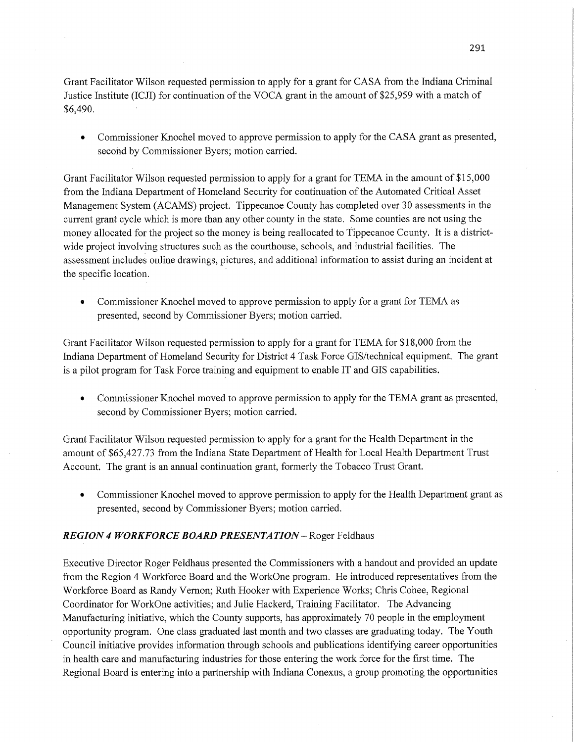Grant Facilitator Wilson requested permission to apply for a grant for CASA from the Indiana Criminal Justice Institute (ICJI) for continuation of the **VOCA** grant in the amount of \$25,959 with a match of \$6,490.

• Commissioner Knochel moved to approve permission to apply for the CASA grant as presented, second by Commissioner Byers; motion carried.

Grant Facilitator Wilson requested permission to apply for a grant for **TEMA** in the amount of \$15,000 from the Indiana Department of Homeland Security for continuation of the Automated Critical Asset Management System (ACAMS) project. Tippecanoe County has completed over 30 assessments in the current grant cycle which is more than any other county in the state. Some counties are not using the money allocated for the project so the money is being reallocated to Tippecanoe County. It is a districtwide project involving structures such as the courthouse, schools, and industrial facilities. The assessment includes online drawings, pictures, and additional information to assist during an incident at the specific location.

**0** Commissioner Knochel moved to approve permission to apply for a grant for TEMA as presented, second by Commissioner Byers; motion carried.

Grant Facilitator Wilson requested permission to apply for a grant for TEMA for \$18,000 from the Indiana Department of Homeland Security for District 4 Task Force GIS/technical equipment; The gran<sup>t</sup> is a pilot program for Task Force training and equipment to enable IT and GIS capabilities.

*-* Commissioner Knochel moved to approve permission to apply for the TEMA grant as presented, second by Commissioner Byers; motion carried.

Grant Facilitator Wilson requested permission to apply for a grant for the Health Department in the amount of \$65,427.73 from the Indiana State Department of Health for Local Health Department Trust Account. The grant is an annual continuation grant, formerly the Tobacco Trust Grant.

**0** Commissioner Knochel moved to approve permission to apply for the Health Department grant as presented, second by Commissioner Byers; motion carried.

## *REGION 4 WORKFORCE BOARD PRESEN* TA *TION —* Roger Feldhaus

Executive Director Roger Feldhaus presented the Commissioners with a handout and provided an update from the Region 4 Workforce Board and the WorkOne program. He introduced representatives from the Workforce Board as Randy Vernon; Ruth Hooker with Experience Works; Chris Cohee, Regional Coordinator for WorkOne activities; and Julie Hackerd, Training Facilitator. The Advancing Manufacturing initiative, which the County supports, has approximately 70 people in the employment opportunity program. One class graduated last month and two classes are graduating today. The Youth Council initiative provides information through schools and publications identifying career opportunities in health care and manufacturing industries for those entering the work force for the first time. The Regional Board'is entering into a partnership with Indiana Conexus, a group promoting the opportunities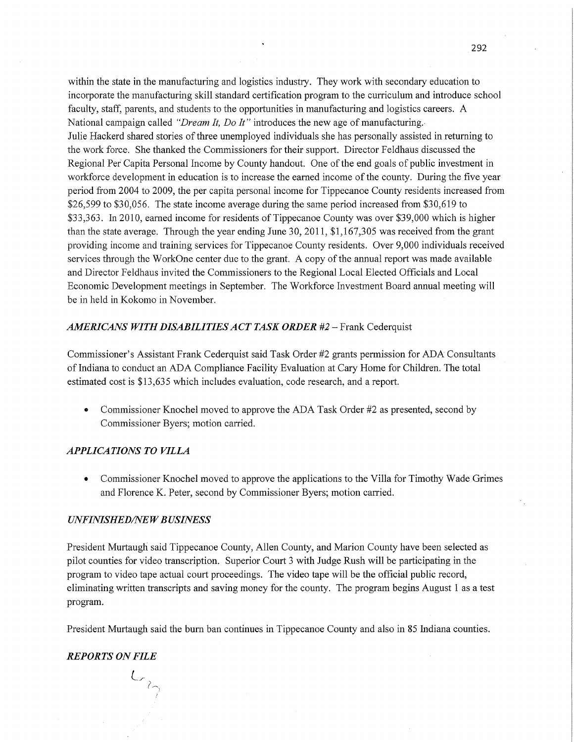within the state in the manufacturing and logistics industry. They work with secondary education to incorporate the manufacturing skill standard certification program to the curriculum and introduce school faculty, staff, parents, and students to the opportunities in manufacturing and logistics careers. A National campaign called *"Dream It, Do It"* introduces the new age of manufacturing. Julie Hackerd shared stories of three unemployed individuals she has personally assisted in returning to the work force. She thanked the Commissioners for their support. Director Feldha'us discussed the Regional Per Capita Personal Income by County handout. One of the end goals of public investment in workforce development in education is to increase the earned income of the county. During the five year period fiom 2004 to 2009, the per capita personal income for Tippecanoe County residents increased from \$26,599 to \$30,056. The state income average during the same period increased from \$30,619 to \$33,363. In 2010, earned income for residents of Tippecanoe County was over \$39,000 which is higher than the state average. Through the year ending June 30, 2011, \$1,167,305 was received from the grant providing income and training services for Tippecanoe County residents. Over 9,000 individuals received services through the WorkOne center due to the grant. **A** copy of the annual report was made available and Director Feldhaus invited the Commissioners to the Regional Local Elected Officials and Local Economic Development meetings in September. The Workforce Investment Board annual meeting will be in held in Kokomo in November.

### *AMERICANS WITH DISABILITIES* ACT *TASK ORDER* #2 -— Frank Cederquist

Commissioner's Assistant Frank Cederquist said Task Order #2 grants permission for ADA" Consultants of Indiana to conduct an ADA Compliance Facility Evaluation at Cary Home for Children. The total estimated cost is \$13,635 which includes evaluation, code research, and a report.

**0** Commissioner Knochel moved to approve the ADA Task Order #2 as presented, second by Commissioner Byers; motion carried.

#### *APPLICATIONS TO VILLA*

**0** Commissioner Knochel moved to approve the applications to the Villa for Timothy Wade Grimes and Florence K. Peter, second by Commissioner Byers; motion carried.

#### *UNFINISHED/NEW BUSINESS*

President Murtaugh said Tippecanoe County, Allen County, and Marion County have been selected as pilot counties for Video transcription. Superior Court 3 with Judge Rush will be participating in the program to video tape actual court proceedings. The Video tape will be the official public record, eliminating written transcripts and saving money for the county. The program begins August 1 as a test program.

President Murtaugh said the burn ban continues in Tippecanoe County and also in 85 Indiana counties.

#### *REPORTS* ON *FILE*

L, *A \ 1*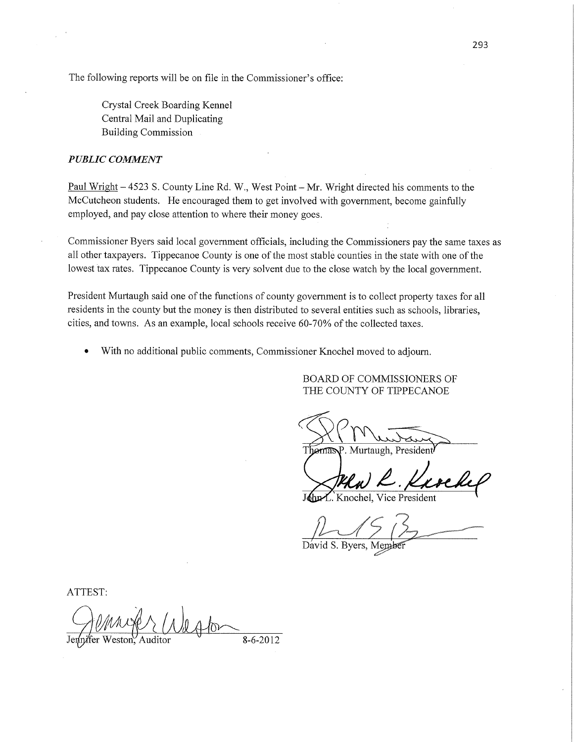The following reports will be on file in the Commissioner's office:

Crystal Creek Boarding Kennel Central Mail and Duplicating Building Commission *.* 

#### *PUBLIC COMMENT*

Paul Wright – 4523 S. County Line Rd. W., West Point – Mr. Wright directed his comments to the McCutcheon students. He encouraged them to get involved with government, become gainfully employed, and pay close attention to where their money goes.

Commissioner Byers said local government officials, including the Commissioners pay the same taxes as all other taxpayers. Tippecanoe County is one of the most stable counties in the state with one of the lowest tax rates. Tippecanoe County is very solvent due to the close watch by the local govemment.

President Murtaugh said one of the **functions** of county government is to collect property taxes for all residents in the county but the money is then distributed to several entities such as schools, libraries, cities, and towns. As an example, local schools receive 60—70% of the collected taxes.

With no additional public comments, Commissioner Knochel moved to adjourn.

BOARD OF COMMISSIONERS OF THE COUNTY OF **TIPPECANOE** 

§€m

P. Murtaugh, Presider

R. Kurchel

Vice President

 $\n *Q Q Q Q Q Q Q Q Q Q Q Q Q Q Q Q Q Q Q Q Q Q Q Q Q Q Q Q Q Q Q* <$ 

David S. Byers,

ATTEST:

Gemmer Weston 8-6-2012